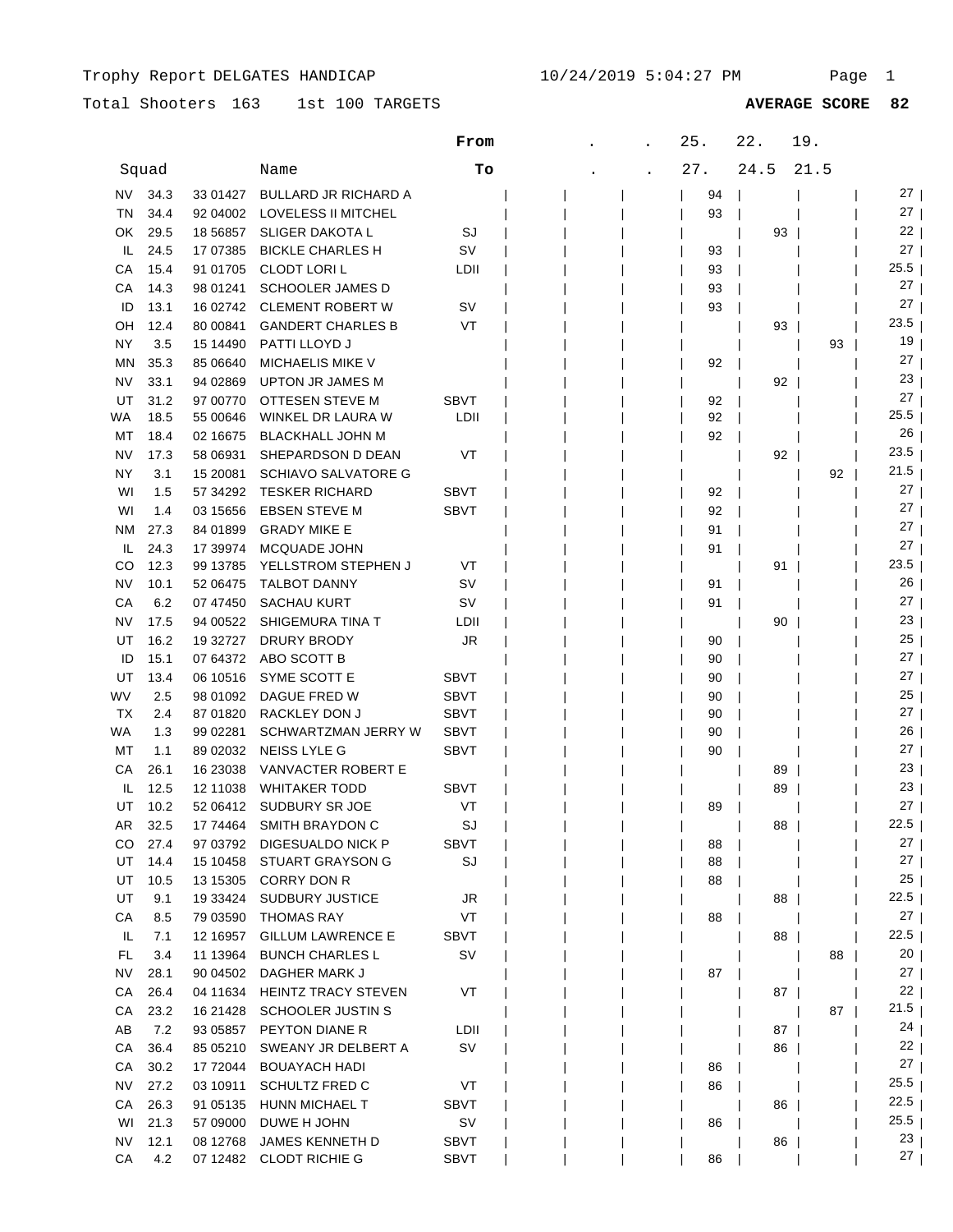Total Shooters 163 1st 100 TARGETS

|           |       |            |                             | From        | 25. |    | 22.  | 19.  |                       |
|-----------|-------|------------|-----------------------------|-------------|-----|----|------|------|-----------------------|
|           | Squad |            | Name                        | To          | 27. |    | 24.5 | 21.5 |                       |
| NV.       | 34.3  | 33 01427   | <b>BULLARD JR RICHARD A</b> |             |     | 94 |      |      | 27 I                  |
| ΤN        | 34.4  | 92 04 002  | LOVELESS II MITCHEL         |             |     | 93 |      |      | 27                    |
| OK        | 29.5  | 18 5 68 57 | <b>SLIGER DAKOTA L</b>      | SJ          |     |    | 93   |      | 22                    |
| IL        | 24.5  | 17 07 385  | <b>BICKLE CHARLES H</b>     | SV          |     | 93 |      |      | 27                    |
| CА        | 15.4  | 91 01705   | <b>CLODT LORIL</b>          | LDII        |     | 93 |      |      | 25.5                  |
| СA        | 14.3  | 98 01241   | <b>SCHOOLER JAMES D</b>     |             |     | 93 |      |      | 27                    |
| ID        | 13.1  | 16 02742   | <b>CLEMENT ROBERT W</b>     | sv          |     | 93 |      |      | 27                    |
| OН        | 12.4  | 80 00841   | <b>GANDERT CHARLES B</b>    | VT          |     |    | 93   |      | 23.5                  |
| ΝY        | 3.5   | 15 14490   | PATTI LLOYD J               |             |     |    |      | 93   | 19                    |
| ΜN        | 35.3  | 85 06640   | <b>MICHAELIS MIKE V</b>     |             |     | 92 |      |      | 27                    |
| NV        | 33.1  | 94 02869   | <b>UPTON JR JAMES M</b>     |             |     |    | 92   |      | 23                    |
| UT        | 31.2  | 97 00770   | OTTESEN STEVE M             | <b>SBVT</b> |     | 92 |      |      | 27                    |
| WA        | 18.5  | 55 00646   | WINKEL DR LAURA W           | LDII        |     | 92 |      |      | 25.5                  |
| МT        | 18.4  | 02 16675   | <b>BLACKHALL JOHN M</b>     |             |     | 92 |      |      | 26                    |
| NV        | 17.3  | 58 06931   | SHEPARDSON D DEAN           | VT          |     |    | 92   |      | 23.5                  |
| ΝY        | 3.1   | 15 20081   | <b>SCHIAVO SALVATORE G</b>  |             |     |    |      | 92   | 21.5                  |
| WI        | 1.5   | 57 34 29 2 | <b>TESKER RICHARD</b>       | <b>SBVT</b> |     | 92 |      |      | 27                    |
| WI        | 1.4   | 03 15 65 6 | <b>EBSEN STEVE M</b>        | <b>SBVT</b> |     | 92 |      |      | 27                    |
| <b>NM</b> | 27.3  | 84 01899   | <b>GRADY MIKE E</b>         |             |     | 91 |      |      | 27                    |
| IL        | 24.3  | 17 39974   | <b>MCQUADE JOHN</b>         |             |     | 91 |      |      | 27                    |
| CO        | 12.3  | 99 13785   | YELLSTROM STEPHEN J         | VT          |     |    | 91   |      | 23.5                  |
| NV        | 10.1  | 52 06475   | TALBOT DANNY                | sv          |     | 91 |      |      | 26                    |
| CA        | 6.2   | 07 47450   | <b>SACHAU KURT</b>          | sv          |     | 91 |      |      | 27 <sub>1</sub>       |
| NV        | 17.5  | 94 00522   | SHIGEMURA TINA T            | LDII        |     |    | 90   |      | 23                    |
| UT        | 16.2  | 19 32727   | DRURY BRODY                 | JR          |     | 90 |      |      | 25                    |
| ID        | 15.1  | 07 64372   | ABO SCOTT B                 |             |     | 90 |      |      | 27 <sub>1</sub>       |
| UT        | 13.4  | 06 10516   | SYME SCOTT E                | <b>SBVT</b> |     | 90 |      |      | 27 <sub>1</sub>       |
| WV        | 2.5   | 98 01092   | DAGUE FRED W                | <b>SBVT</b> |     | 90 |      |      | 25                    |
| ТX        | 2.4   | 87 01820   | RACKLEY DON J               | <b>SBVT</b> |     | 90 |      |      | 27                    |
| WA        | 1.3   | 99 02281   | SCHWARTZMAN JERRY W         | <b>SBVT</b> |     | 90 |      |      | 26                    |
| МT        | 1.1   | 89 02032   | NEISS LYLE G                | <b>SBVT</b> |     | 90 |      |      | 27                    |
| СA        | 26.1  | 16 23038   | VANVACTER ROBERT E          |             |     |    | 89   |      | 23                    |
| IL        | 12.5  | 12 11038   | <b>WHITAKER TODD</b>        | <b>SBVT</b> |     |    | 89   |      | 23                    |
| UT        | 10.2  | 52 06412   | SUDBURY SR JOE              | VT          |     | 89 |      |      | 27                    |
| AR        | 32.5  | 17 74464   | <b>SMITH BRAYDON C</b>      | SJ          |     |    | 88   |      | 22.5                  |
| CO.       | 27.4  | 97 03792   | DIGESUALDO NICK P           | <b>SBVT</b> |     | 88 |      |      | 27                    |
| UT        | 14.4  | 15 10458   | STUART GRAYSON G            | SJ          |     | 88 |      |      | 27                    |
| UT        | 10.5  | 13 15305   | CORRY DON R                 |             |     | 88 |      |      | 25                    |
| UT        | 9.1   | 19 33424   | <b>SUDBURY JUSTICE</b>      | JR          |     |    | 88   |      | 22.5                  |
| СA        | 8.5   | 79 03590   | <b>THOMAS RAY</b>           | VT          |     | 88 |      |      | 27                    |
| IL.       | 7.1   | 12 16957   | <b>GILLUM LAWRENCE E</b>    | SBVT        |     |    | 88   |      | 22.5                  |
| FL.       | 3.4   | 11 13964   | <b>BUNCH CHARLES L</b>      | SV          |     |    |      | 88   | 20                    |
| NV.       | 28.1  | 90 04502   | DAGHER MARK J               |             |     | 87 |      |      | $27 \mid$             |
| CA        | 26.4  | 04 11634   | <b>HEINTZ TRACY STEVEN</b>  | VT          |     |    | 87   |      | 22                    |
| СA        | 23.2  | 16 21428   | <b>SCHOOLER JUSTIN S</b>    |             |     |    |      | 87   | $21.5$                |
| AB        | 7.2   | 93 05857   | PEYTON DIANE R              | LDII        |     |    | 87   |      | 24                    |
| СA        | 36.4  | 85 05210   | SWEANY JR DELBERT A         | SV          |     |    | 86   |      | 22 <sub>1</sub>       |
| CA        | 30.2  | 17 72044   | <b>BOUAYACH HADI</b>        |             |     | 86 |      |      | 27                    |
| NV        | 27.2  | 03 10911   | <b>SCHULTZ FRED C</b>       | VT          |     | 86 |      |      | 25.5                  |
| CA        | 26.3  | 91 05135   | HUNN MICHAEL T              | SBVT        |     |    | 86   |      | 22.5                  |
| WI        | 21.3  | 57 09000   | DUWE H JOHN                 | sv          |     | 86 |      |      | 25.5                  |
| NV        | 12.1  | 08 12768   | JAMES KENNETH D             | SBVT        |     |    | 86   |      | 23<br>27 <sub>1</sub> |
| CA        | 4.2   | 07 12482   | <b>CLODT RICHIE G</b>       | <b>SBVT</b> |     | 86 |      |      |                       |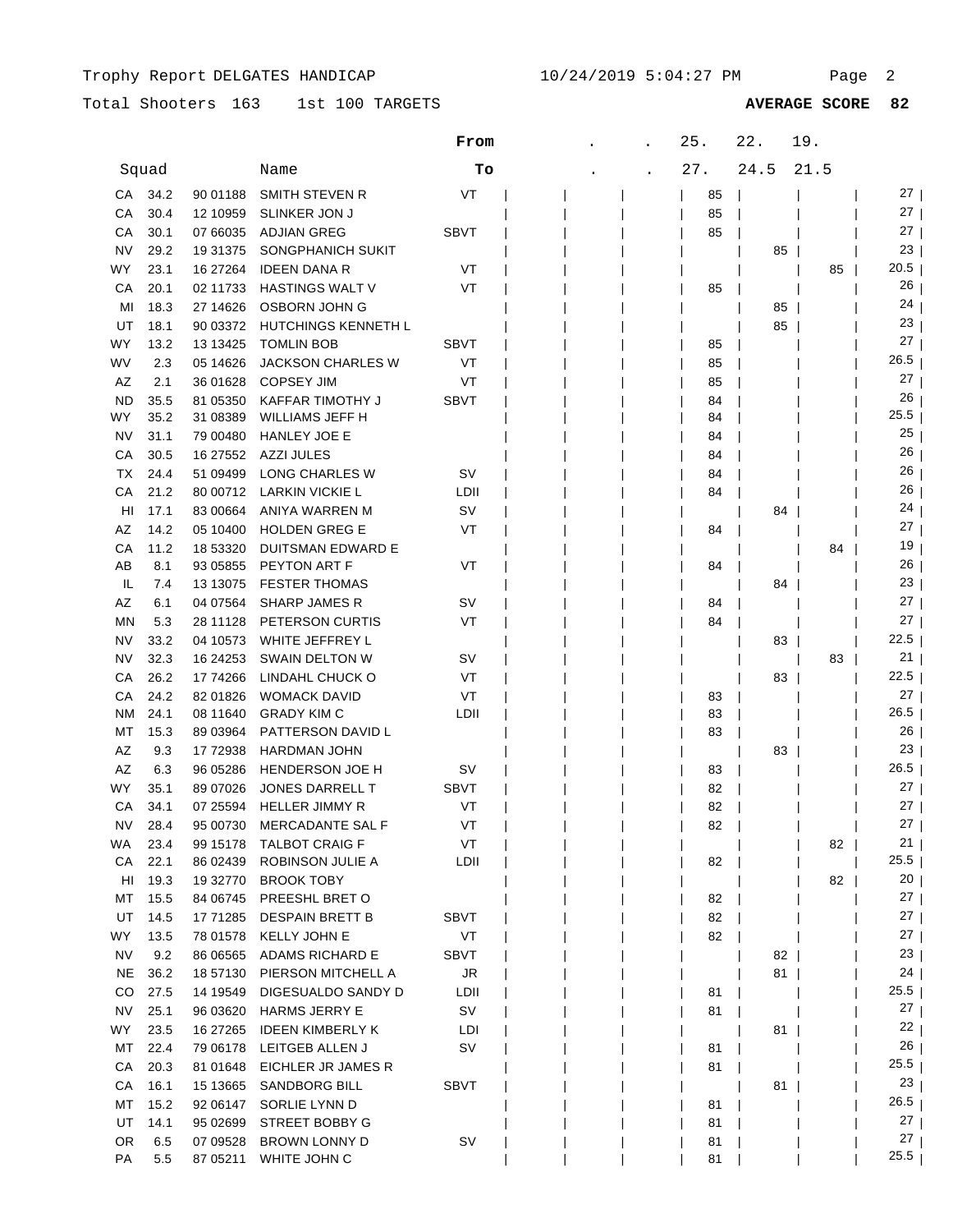## Total Shooters 163 1st 100 TARGETS **AVERAGE SCORE 82**

|                 |            |                       |                                              | From        |  | 25.      | 22.  | 19.  |                   |
|-----------------|------------|-----------------------|----------------------------------------------|-------------|--|----------|------|------|-------------------|
|                 | Squad      |                       | Name                                         | Tо          |  | 27.      | 24.5 | 21.5 |                   |
| СA              | 34.2       | 90 01188              | SMITH STEVEN R                               | VT          |  | 85       |      |      | $27 \mid$         |
| СA              | 30.4       | 12 10959              | <b>SLINKER JON J</b>                         |             |  | 85       |      |      | $27 \mid$         |
| СA              | 30.1       | 07 66035              | <b>ADJIAN GREG</b>                           | <b>SBVT</b> |  | 85       |      |      | $27 \mid$         |
| <b>NV</b>       | 29.2       | 19 31 375             | SONGPHANICH SUKIT                            |             |  |          | 85   |      | 23                |
| WY              | 23.1       | 16 27 264             | <b>IDEEN DANA R</b>                          | VT          |  |          |      | 85   | 20.5              |
| СA              | 20.1       | 02 11733              | HASTINGS WALT V                              | VT          |  | 85       |      |      | 26                |
| MI              | 18.3       | 27 14626              | OSBORN JOHN G                                |             |  |          | 85   |      | 24                |
| UT              | 18.1       | 90 03372              | <b>HUTCHINGS KENNETH L</b>                   |             |  |          | 85   |      | 23                |
| WY              | 13.2       | 13 13 425             | <b>TOMLIN BOB</b>                            | SBVT        |  | 85       |      |      | 27                |
| WV              | 2.3        | 05 14626              | <b>JACKSON CHARLES W</b>                     | VT          |  | 85       |      |      | 26.5              |
| AZ              | 2.1        | 36 01628              | <b>COPSEY JIM</b>                            | VT          |  | 85       |      |      | 27                |
| <b>ND</b>       | 35.5       | 81 05350              | KAFFAR TIMOTHY J                             | <b>SBVT</b> |  | 84       |      |      | 26                |
| WY              | 35.2       | 31 08389              | WILLIAMS JEFF H                              |             |  | 84       |      |      | 25.5              |
| <b>NV</b>       | 31.1       | 79 00480              | <b>HANLEY JOE E</b>                          |             |  | 84       |      |      | 25                |
| СA              | 30.5       | 16 27552              | AZZI JULES                                   |             |  | 84       |      |      | 26                |
| ТX              | 24.4       | 51 09499              | LONG CHARLES W                               | SV          |  | 84       |      |      | 26                |
| СA              | 21.2       | 80 00712              | <b>LARKIN VICKIE L</b>                       | LDII        |  | 84       |      |      | 26                |
| HI              | 17.1       | 83 00664              | ANIYA WARREN M                               | SV          |  |          | 84   |      | 24                |
| AZ              | 14.2       | 05 10400              | <b>HOLDEN GREG E</b>                         | VT          |  | 84       |      |      | 27                |
| СA              | 11.2       | 18 53320              | <b>DUITSMAN EDWARD E</b>                     |             |  |          |      | 84   | 19<br>26          |
| AB              | 8.1        | 93 05855              | PEYTON ART F                                 | VT          |  | 84       |      |      | 23                |
| IL<br>AZ        | 7.4        | 13 13 075<br>04 07564 | <b>FESTER THOMAS</b><br><b>SHARP JAMES R</b> | sv          |  |          | 84   |      | 27                |
| ΜN              | 6.1<br>5.3 | 28 11128              | PETERSON CURTIS                              | VT          |  | 84<br>84 |      |      | 27                |
| NV              | 33.2       | 04 10573              | WHITE JEFFREY L                              |             |  |          | 83   |      | 22.5              |
| <b>NV</b>       | 32.3       | 16 24 25 3            | SWAIN DELTON W                               | sv          |  |          |      | 83   | 21                |
| СA              | 26.2       | 17 74266              | LINDAHL CHUCK O                              | VT          |  |          | 83   |      | 22.5              |
| CA              | 24.2       | 82 01826              | <b>WOMACK DAVID</b>                          | VT          |  | 83       |      |      | 27 <sub>1</sub>   |
| <b>NM</b>       | 24.1       | 08 11 640             | <b>GRADY KIM C</b>                           | LDII        |  | 83       |      |      | 26.5              |
| MT              | 15.3       | 89 03964              | PATTERSON DAVID L                            |             |  | 83       |      |      | 26                |
| AZ              | 9.3        | 17 72938              | HARDMAN JOHN                                 |             |  |          | 83   |      | 23                |
| AZ              | 6.3        | 96 05286              | HENDERSON JOE H                              | sv          |  | 83       |      |      | 26.5              |
| WY              | 35.1       | 89 07026              | JONES DARRELL T                              | <b>SBVT</b> |  | 82       |      |      | 27                |
| СA              | 34.1       | 07 25594              | <b>HELLER JIMMY R</b>                        | VT          |  | 82       |      |      | 27                |
| NV              | 28.4       | 95 00730              | <b>MERCADANTE SAL F</b>                      | VT          |  | 82       |      |      | 27                |
| WA              | 23.4       | 99 15178              | <b>TALBOT CRAIG F</b>                        | VT          |  |          |      | 82   | $21 \mid$         |
| CA              | 22.1       | 86 02439              | ROBINSON JULIE A                             | LDII        |  | 82       |      |      | 25.5              |
| HI              | 19.3       |                       | 19 32770 BROOK TOBY                          |             |  |          |      | 82   | 20 <sub>1</sub>   |
| МT              | 15.5       | 84 06745              | PREESHL BRET O                               |             |  | 82       |      |      | $27 \mid$         |
| UT              | 14.5       | 17 71285              | <b>DESPAIN BRETT B</b>                       | <b>SBVT</b> |  | 82       |      |      | $27 \mid$         |
| WY              | 13.5       | 78 01578              | KELLY JOHN E                                 | VT          |  | 82       |      |      | $27 \mid$         |
| <b>NV</b>       | 9.2        | 86 06565              | <b>ADAMS RICHARD E</b>                       | SBVT        |  |          | 82   |      | 23                |
| <b>NE</b>       | 36.2       | 18 57130              | PIERSON MITCHELL A                           | JR          |  |          | $81$ |      | $24$              |
| CO              | 27.5       | 14 19549              | DIGESUALDO SANDY D                           | LDII        |  | 81       |      |      | 25.5              |
| <b>NV</b>       | 25.1       | 96 03620              | <b>HARMS JERRY E</b>                         | SV          |  | 81       |      |      | $27 \mid$         |
| WY              | 23.5       | 16 27 265             | <b>IDEEN KIMBERLY K</b>                      | LDI         |  |          | 81   |      | 22                |
| MT              | 22.4       | 79 06178              | LEITGEB ALLEN J                              | SV          |  | 81       |      |      | 26                |
| CA              | 20.3       | 81 01 648             | EICHLER JR JAMES R                           |             |  | 81       |      |      | $25.5$            |
| CA              | 16.1       | 15 13665              | SANDBORG BILL                                | SBVT        |  |          | 81   |      | 23                |
| MT              | 15.2       | 92 06147              | SORLIE LYNN D                                |             |  | 81       |      |      | 26.5<br>$27 \mid$ |
| UT              | 14.1       | 95 02699              | STREET BOBBY G                               |             |  | 81       |      |      | 27 <sub>1</sub>   |
| <b>OR</b><br>PA | 6.5<br>5.5 | 07 09528<br>87 05211  | BROWN LONNY D<br>WHITE JOHN C                | <b>SV</b>   |  | 81<br>81 |      |      | $25.5$            |
|                 |            |                       |                                              |             |  |          |      |      |                   |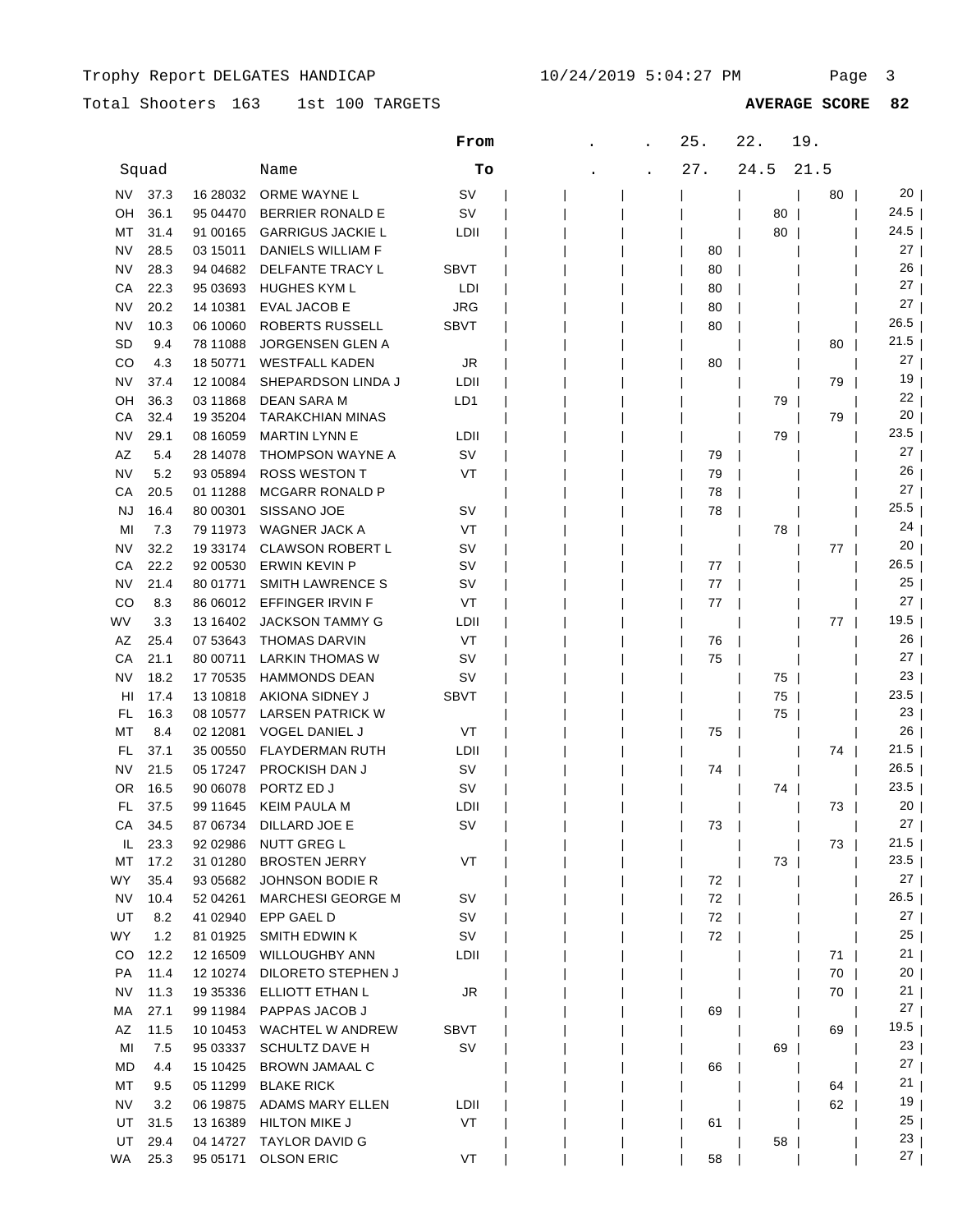# Total Shooters 163 1st 100 TARGETS

### 1st 100 TARGETS **AVERAGE SCORE 82**

|           |       |           |                          | From        | 25. | 22.  | 19.  |                 |  |
|-----------|-------|-----------|--------------------------|-------------|-----|------|------|-----------------|--|
|           | Squad |           | Name                     | Tо          | 27. | 24.5 | 21.5 |                 |  |
| NV        | 37.3  | 16 28032  | ORME WAYNE L             | SV          |     |      | 80   | 20 <sub>1</sub> |  |
| OН        | 36.1  | 95 04470  | <b>BERRIER RONALD E</b>  | <b>SV</b>   |     | 80   |      | 24.5            |  |
| МT        | 31.4  | 91 00165  | <b>GARRIGUS JACKIE L</b> | LDII        |     | 80   |      | 24.5            |  |
| NV        | 28.5  | 03 15011  | DANIELS WILLIAM F        |             | 80  |      |      | 27              |  |
| <b>NV</b> | 28.3  | 94 04 682 | DELFANTE TRACY L         | SBVT        | 80  |      |      | 26              |  |
| СA        | 22.3  | 95 03693  | <b>HUGHES KYM L</b>      | LDI         | 80  |      |      | 27              |  |
| NV        | 20.2  | 14 10381  | <b>EVAL JACOB E</b>      | <b>JRG</b>  | 80  |      |      | 27              |  |
| <b>NV</b> | 10.3  | 06 10060  | ROBERTS RUSSELL          | <b>SBVT</b> | 80  |      |      | 26.5            |  |
| SD        | 9.4   | 78 11088  | <b>JORGENSEN GLEN A</b>  |             |     |      | 80   | 21.5            |  |
| CO        | 4.3   | 18 50771  | <b>WESTFALL KADEN</b>    | JR          | 80  |      |      | 27              |  |
| NV        | 37.4  | 12 10084  | SHEPARDSON LINDA J       | LDII        |     |      | 79   | 19              |  |
| OH        | 36.3  | 03 11868  | DEAN SARA M              | LD1         |     | 79   |      | 22              |  |
| CА        | 32.4  | 19 35 204 | <b>TARAKCHIAN MINAS</b>  |             |     |      | 79   | 20              |  |
| NV        | 29.1  | 08 16059  | <b>MARTIN LYNN E</b>     | LDII        |     | 79   |      | 23.5            |  |
| ΑZ        | 5.4   | 28 14078  | THOMPSON WAYNE A         | sv          | 79  |      |      | 27              |  |
| NV        | 5.2   | 93 05894  | <b>ROSS WESTON T</b>     | VT          | 79  |      |      | 26              |  |
| CА        | 20.5  | 01 11288  | <b>MCGARR RONALD P</b>   |             | 78  |      |      | 27              |  |
| NJ        | 16.4  | 80 00301  | SISSANO JOE              | sv          | 78  |      |      | 25.5            |  |
| MI        | 7.3   | 79 11973  | WAGNER JACK A            | VT          |     | 78   |      | 24              |  |
| NV        | 32.2  | 19 33174  | <b>CLAWSON ROBERT L</b>  | sv          |     |      | 77   | 20              |  |
| СA        | 22.2  | 92 00530  | ERWIN KEVIN P            | sv          | 77  |      |      | 26.5            |  |
| NV        | 21.4  | 80 01771  | SMITH LAWRENCE S         | sv          | 77  |      |      | 25              |  |
| CO        | 8.3   | 86 06012  | EFFINGER IRVIN F         | VT          | 77  |      |      | $27 \mid$       |  |
| WV        | 3.3   | 13 16402  | <b>JACKSON TAMMY G</b>   | LDII        |     |      | 77   | 19.5            |  |
| AZ        | 25.4  | 07 53 643 | <b>THOMAS DARVIN</b>     | VT          | 76  |      |      | 26              |  |
| СA        | 21.1  | 80 00711  | LARKIN THOMAS W          | sv          | 75  |      |      | $27 \mid$       |  |
| <b>NV</b> | 18.2  | 17 70535  | <b>HAMMONDS DEAN</b>     | sv          |     | 75   |      | 23              |  |
| HI        | 17.4  | 13 10 818 | AKIONA SIDNEY J          | <b>SBVT</b> |     | 75   |      | 23.5            |  |
| FL        | 16.3  | 08 10577  | <b>LARSEN PATRICK W</b>  |             |     | 75   |      | 23              |  |
| МT        | 8.4   | 02 12081  | <b>VOGEL DANIEL J</b>    | VT          | 75  |      |      | ا 26            |  |
| FL        | 37.1  | 35 00550  | <b>FLAYDERMAN RUTH</b>   | LDII        |     |      | 74   | 21.5            |  |
| <b>NV</b> | 21.5  | 05 17247  | PROCKISH DAN J           | sv          | 74  |      |      | 26.5            |  |
| 0R        | 16.5  | 90 06078  | PORTZ ED J               | sv          |     | 74   |      | 23.5            |  |
| FL        | 37.5  | 99 11 645 | <b>KEIM PAULA M</b>      | LDII        |     |      | 73   | 20              |  |
| СA        | 34.5  | 87 06734  | DILLARD JOE E            | SV          | 73  |      |      | 27              |  |
| IL.       | 23.3  | 92 02986  | <b>NUTT GREG L</b>       |             |     |      | 73   | 21.5            |  |
| МT        | 17.2  | 31 01280  | <b>BROSTEN JERRY</b>     | VT          |     | 73   |      | 23.5            |  |
| WY.       | 35.4  | 93 05 682 | <b>JOHNSON BODIE R</b>   |             | 72  |      |      | 27              |  |
| NV.       | 10.4  | 52 04 261 | <b>MARCHESI GEORGE M</b> | <b>SV</b>   | 72  |      |      | 26.5            |  |
| UT        | 8.2   | 41 02940  | EPP GAEL D               | sv          | 72  |      |      | 27              |  |
| WY        | 1.2   | 81 01925  | SMITH EDWIN K            | sv          | 72  |      |      | 25              |  |
| CO        | 12.2  | 12 16509  | <b>WILLOUGHBY ANN</b>    | LDII        |     |      | 71   | $21 \mid$       |  |
| PA        | 11.4  | 12 10274  | DILORETO STEPHEN J       |             |     |      | 70   | $20$            |  |
| <b>NV</b> | 11.3  | 19 35 336 | ELLIOTT ETHAN L          | JR          |     |      | 70   | 21              |  |
| МA        | 27.1  | 99 11984  | PAPPAS JACOB J           |             | 69  |      |      | 27 <sub>1</sub> |  |
| AZ        | 11.5  | 10 10 453 | WACHTEL W ANDREW         | <b>SBVT</b> |     |      | 69   | 19.5 $\vert$    |  |
| MI        | 7.5   | 95 03337  | <b>SCHULTZ DAVE H</b>    | <b>SV</b>   |     | 69   |      | 23 <sub>1</sub> |  |
| MD        | 4.4   | 15 10425  | BROWN JAMAAL C           |             | 66  |      |      | 27 <sub>1</sub> |  |
| МT        | 9.5   | 05 11299  | <b>BLAKE RICK</b>        |             |     |      | 64   | 21              |  |
| NV.       | 3.2   | 06 19875  | ADAMS MARY ELLEN         | LDII        |     |      | 62   | 19 <sub>1</sub> |  |
| UT        | 31.5  | 13 16 389 | <b>HILTON MIKE J</b>     | VT          | 61  |      |      | 25 <sub>1</sub> |  |
| UT        | 29.4  | 04 14727  | <b>TAYLOR DAVID G</b>    |             |     | 58   |      | 23 <sub>1</sub> |  |
| WA        | 25.3  | 95 05171  | <b>OLSON ERIC</b>        | VT          | 58  |      |      | 27 <sub>1</sub> |  |